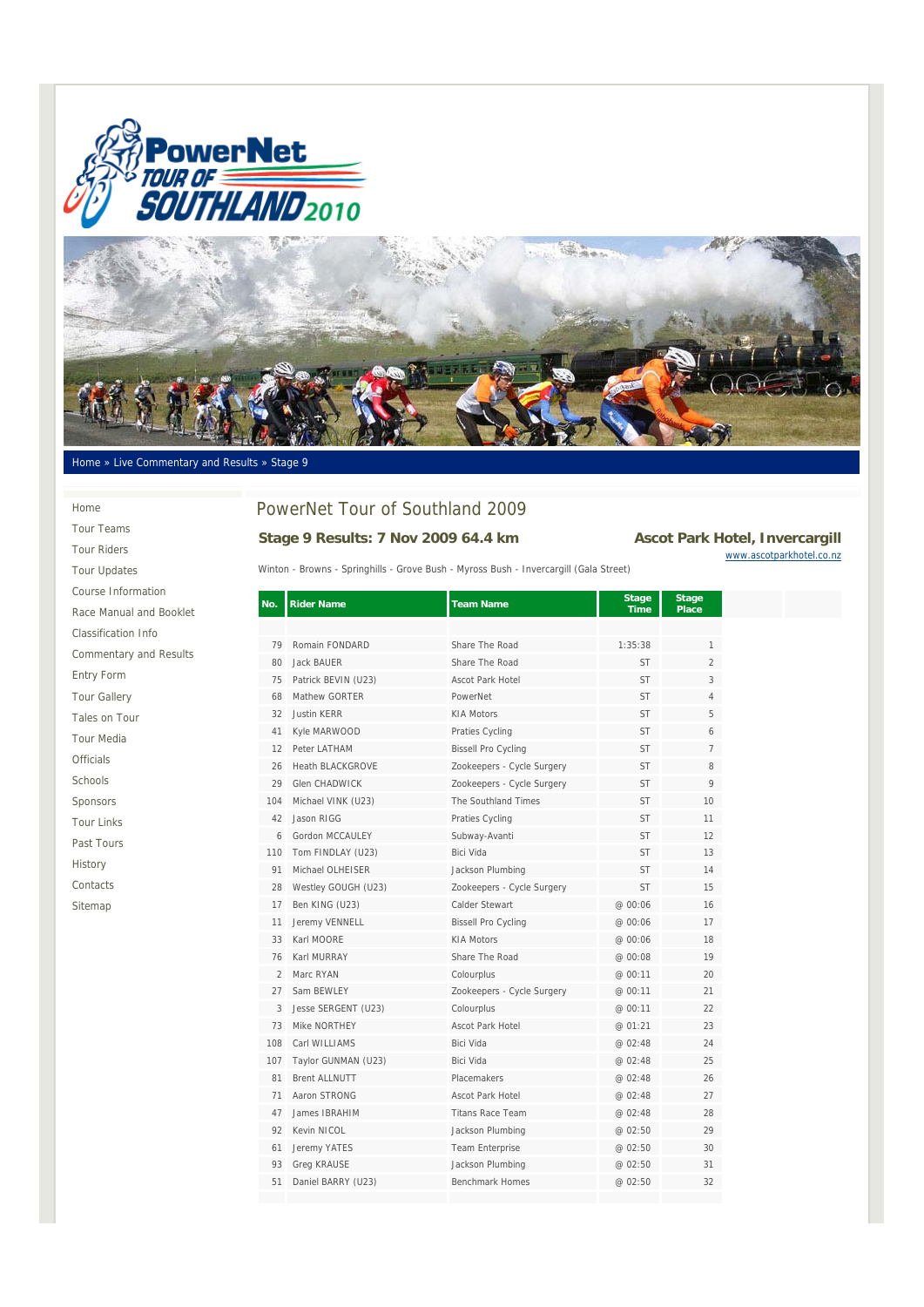



#### Home » Live Commentary and Results » Stage 9

# PowerNet Tour of Southland 2009 Stage 9 Results: 7 Nov 2009 64.4 km Ascot Park Hotel, Invercargill

Winton - Browns - Springhills - Grove Bush - Myross Bush - Invercargill (Gala Street)

| .                        |
|--------------------------|
| www.ascotparkhotel.co.nz |
|                          |
|                          |

| <b>Tour Riders</b>            |
|-------------------------------|
| <b>Tour Updates</b>           |
| Course Information            |
| Race Manual and Booklet       |
| <b>Classification Info</b>    |
| <b>Commentary and Results</b> |
| <b>Entry Form</b>             |
| <b>Tour Gallery</b>           |
| Tales on Tour                 |
| <b>Tour Media</b>             |
| <b>Officials</b>              |
| Schools                       |
| Sponsors                      |
| <b>Tour Links</b>             |
| Past Tours                    |
| History                       |
| Contacts                      |
| Sitemap                       |
|                               |
|                               |

Home Tour Teams

| No.            | <b>Rider Name</b>       | <b>Team Name</b>           | Stage<br><b>Time</b> | Stage<br><b>Place</b> |
|----------------|-------------------------|----------------------------|----------------------|-----------------------|
|                |                         |                            |                      |                       |
| 79             | Romain FONDARD          | Share The Road             | 1:35:38              | 1                     |
| 80             | <b>Jack BAUFR</b>       | Share The Road             | <b>ST</b>            | $\overline{2}$        |
| 75             | Patrick BEVIN (U23)     | <b>Ascot Park Hotel</b>    | <b>ST</b>            | 3                     |
| 68             | Mathew GORTER           | PowerNet                   | <b>ST</b>            | $\overline{4}$        |
| 32             | <b>Justin KERR</b>      | <b>KIA Motors</b>          | <b>ST</b>            | 5                     |
| 41             | Kyle MARWOOD            | Praties Cycling            | <b>ST</b>            | 6                     |
| 12             | Peter LATHAM            | <b>Bissell Pro Cycling</b> | <b>ST</b>            | 7                     |
| 26             | <b>Heath BLACKGROVE</b> | Zookeepers - Cycle Surgery | <b>ST</b>            | 8                     |
| 29             | <b>Glen CHADWICK</b>    | Zookeepers - Cycle Surgery | <b>ST</b>            | 9                     |
| 104            | Michael VINK (U23)      | The Southland Times        | <b>ST</b>            | 10                    |
| 42             | Jason RIGG              | Praties Cycling            | <b>ST</b>            | 11                    |
| 6              | Gordon MCCAULEY         | Subway-Avanti              | <b>ST</b>            | 12                    |
| 110            | Tom FINDLAY (U23)       | Bici Vida                  | <b>ST</b>            | 13                    |
| 91             | Michael OLHEISER        | Jackson Plumbing           | <b>ST</b>            | 14                    |
| 28             | Westley GOUGH (U23)     | Zookeepers - Cycle Surgery | <b>ST</b>            | 15                    |
| 17             | Ben KING (U23)          | Calder Stewart             | @ 00:06              | 16                    |
| 11             | Jeremy VENNELL          | <b>Bissell Pro Cycling</b> | @ 00:06              | 17                    |
| 33             | Karl MOORE              | <b>KIA Motors</b>          | @ 00:06              | 18                    |
| 76             | Karl MURRAY             | Share The Road             | @ 00:08              | 19                    |
| $\overline{2}$ | Marc RYAN               | Colourplus                 | @ 00:11              | 20                    |
| 27             | Sam BEWLEY              | Zookeepers - Cycle Surgery | @ 00:11              | 21                    |
| 3              | Jesse SERGENT (U23)     | Colourplus                 | @ 00:11              | 22                    |
| 73             | Mike NORTHEY            | Ascot Park Hotel           | @ 01:21              | 23                    |
| 108            | Carl WILLIAMS           | Bici Vida                  | @ 02:48              | 24                    |
| 107            | Taylor GUNMAN (U23)     | Bici Vida                  | @ 02:48              | 25                    |
| 81             | <b>Brent ALLNUTT</b>    | Placemakers                | @ 02:48              | 26                    |
| 71             | Aaron STRONG            | <b>Ascot Park Hotel</b>    | @ 02:48              | 27                    |
| 47             | James IBRAHIM           | <b>Titans Race Team</b>    | @ 02:48              | 28                    |
| 92             | Kevin NICOL             | Jackson Plumbing           | @ 02:50              | 29                    |
| 61             | Jeremy YATES            | Team Enterprise            | @ 02:50              | 30                    |
| 93             | Greg KRAUSE             | Jackson Plumbing           | @ 02:50              | 31                    |
| 51             | Daniel BARRY (U23)      | Benchmark Homes            | @ 02:50              | 32                    |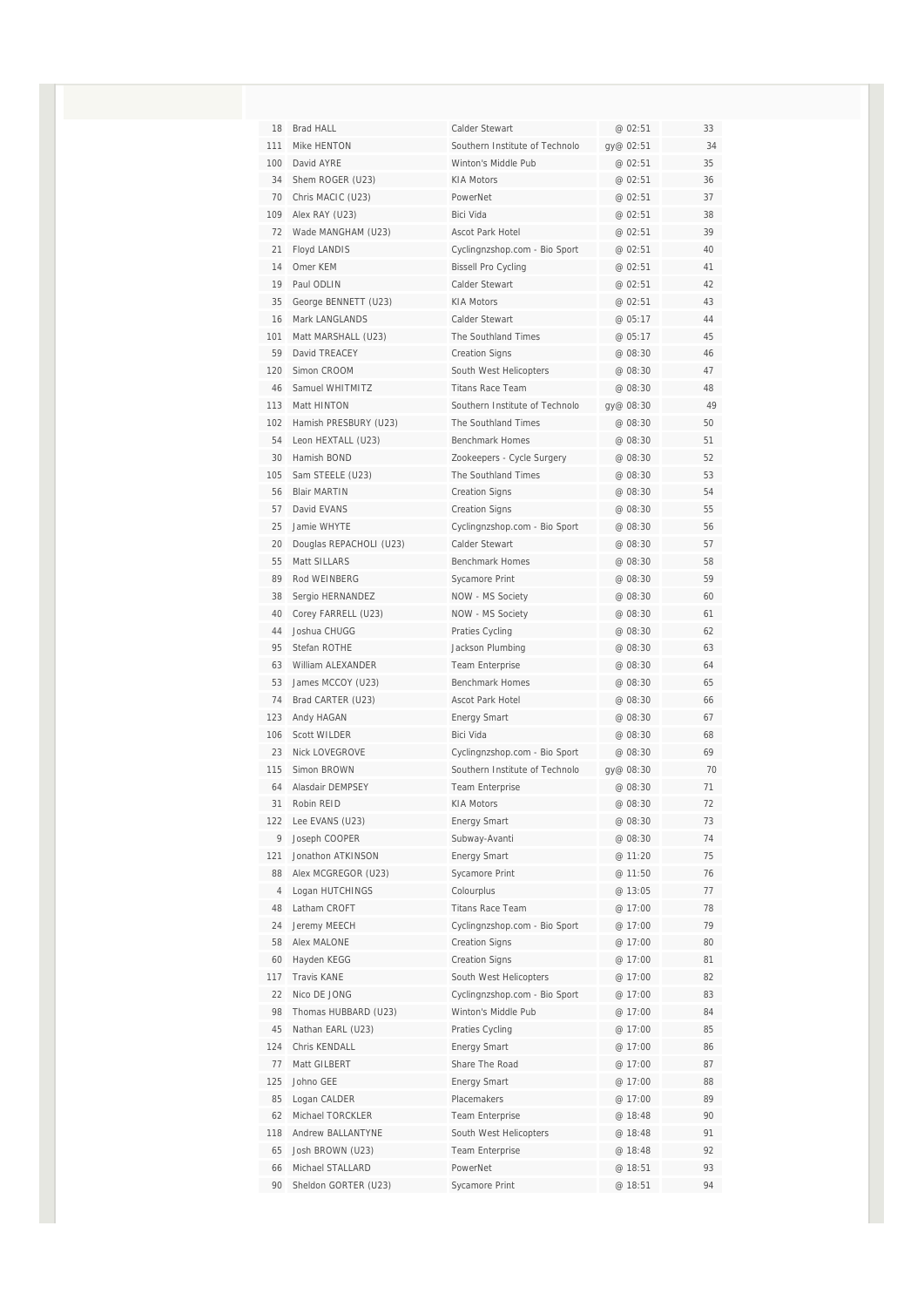| 18             | Brad HALL               | Calder Stewart                 | @ 02:51   | 33 |
|----------------|-------------------------|--------------------------------|-----------|----|
| 111            | Mike HENTON             | Southern Institute of Technolo | gy@ 02:51 | 34 |
| 100            | David AYRE              | Winton's Middle Pub            | @ 02:51   | 35 |
| 34             | Shem ROGER (U23)        | <b>KIA Motors</b>              | @ 02:51   | 36 |
| 70             | Chris MACIC (U23)       | PowerNet                       | @ 02:51   | 37 |
| 109            | Alex RAY (U23)          | Bici Vida                      | @ 02:51   | 38 |
| 72             | Wade MANGHAM (U23)      | Ascot Park Hotel               | @ 02:51   | 39 |
| 21             | Floyd LANDIS            | Cyclingnzshop.com - Bio Sport  | @ 02:51   | 40 |
| 14             | Omer KEM                | <b>Bissell Pro Cycling</b>     | @ 02:51   | 41 |
| 19             | Paul ODLIN              | Calder Stewart                 | @ 02:51   | 42 |
| 35             | George BENNETT (U23)    | <b>KIA Motors</b>              | @ 02:51   | 43 |
| 16             | Mark LANGLANDS          | Calder Stewart                 | @ 05:17   | 44 |
| 101            | Matt MARSHALL (U23)     | The Southland Times            | @ 05:17   | 45 |
| 59             | David TREACEY           | <b>Creation Signs</b>          | @ 08:30   | 46 |
| 120            | Simon CROOM             | South West Helicopters         | @ 08:30   | 47 |
| 46             | Samuel WHITMITZ         | <b>Titans Race Team</b>        | @ 08:30   | 48 |
| 113            | Matt HINTON             | Southern Institute of Technolo | gy@ 08:30 | 49 |
| 102            | Hamish PRESBURY (U23)   | The Southland Times            | @ 08:30   | 50 |
| 54             | Leon HEXTALL (U23)      | <b>Benchmark Homes</b>         | @ 08:30   | 51 |
| 30             | Hamish BOND             | Zookeepers - Cycle Surgery     | @ 08:30   | 52 |
| 105            | Sam STEELE (U23)        | The Southland Times            | @ 08:30   | 53 |
| 56             | <b>Blair MARTIN</b>     | <b>Creation Signs</b>          | @ 08:30   | 54 |
| 57             | David EVANS             | <b>Creation Signs</b>          | @ 08:30   | 55 |
| 25             | Jamie WHYTE             | Cyclingnzshop.com - Bio Sport  | @ 08:30   | 56 |
| 20             | Douglas REPACHOLI (U23) | Calder Stewart                 | @ 08:30   | 57 |
| 55             | Matt SILLARS            | <b>Benchmark Homes</b>         | @ 08:30   | 58 |
| 89             | Rod WEINBERG            | Sycamore Print                 | @ 08:30   | 59 |
| 38             | Sergio HERNANDEZ        | NOW - MS Society               | @ 08:30   | 60 |
| 40             | Corey FARRELL (U23)     | NOW - MS Society               | @ 08:30   | 61 |
| 44             | Joshua CHUGG            | Praties Cycling                | @ 08:30   | 62 |
| 95             | Stefan ROTHE            | Jackson Plumbing               | @ 08:30   | 63 |
| 63             | William ALEXANDER       | Team Enterprise                | @ 08:30   | 64 |
| 53             | James MCCOY (U23)       | <b>Benchmark Homes</b>         | @ 08:30   | 65 |
| 74             | Brad CARTER (U23)       | Ascot Park Hotel               | @ 08:30   | 66 |
| 123            | Andy HAGAN              | <b>Energy Smart</b>            | @ 08:30   | 67 |
| 106            | Scott WILDER            | Bici Vida                      | @ 08:30   | 68 |
| 23             | <b>Nick LOVEGROVE</b>   | Cyclingnzshop.com - Bio Sport  | @ 08:30   | 69 |
| 115            | Simon BROWN             | Southern Institute of Technolo | gy@ 08:30 | 70 |
| 64             | Alasdair DEMPSEY        | <b>Team Enterprise</b>         | @ 08:30   | 71 |
| 31             | Robin REID              | <b>KIA Motors</b>              | @ 08:30   | 72 |
| 122            | Lee EVANS (U23)         | <b>Energy Smart</b>            | @ 08:30   | 73 |
| 9              | Joseph COOPER           | Subway-Avanti                  | @ 08:30   | 74 |
| 121            | Jonathon ATKINSON       | <b>Energy Smart</b>            | @ 11:20   | 75 |
| 88             | Alex MCGREGOR (U23)     | Sycamore Print                 | @ 11:50   | 76 |
| $\overline{4}$ | Logan HUTCHINGS         | Colourplus                     | @ 13:05   | 77 |
| 48             | Latham CROFT            | Titans Race Team               | @ 17:00   | 78 |
| 24             | Jeremy MEECH            | Cyclingnzshop.com - Bio Sport  | @ 17:00   | 79 |
| 58             | Alex MALONE             | <b>Creation Signs</b>          | @ 17:00   | 80 |
| 60             | Hayden KEGG             | <b>Creation Signs</b>          | @ 17:00   | 81 |
| 117            | Travis KANE             | South West Helicopters         | @ 17:00   | 82 |
| 22             | Nico DE JONG            | Cyclingnzshop.com - Bio Sport  | @ 17:00   | 83 |
| 98             | Thomas HUBBARD (U23)    | Winton's Middle Pub            | @ 17:00   | 84 |
| 45             | Nathan EARL (U23)       | Praties Cycling                | @ 17:00   | 85 |
| 124            | Chris KENDALL           | <b>Energy Smart</b>            | @ 17:00   | 86 |
| 77             | Matt GILBERT            | Share The Road                 | @ 17:00   | 87 |
| 125            | Johno GEE               | <b>Energy Smart</b>            | @ 17:00   | 88 |
| 85             | Logan CALDER            | Placemakers                    | @ 17:00   | 89 |
| 62             | Michael TORCKLER        | <b>Team Enterprise</b>         | @ 18:48   | 90 |
| 118            | Andrew BALLANTYNE       | South West Helicopters         | @ 18:48   | 91 |
| 65             | Josh BROWN (U23)        | Team Enterprise                | @ 18:48   | 92 |
| 66             | Michael STALLARD        | PowerNet                       | @ 18:51   | 93 |
| 90             | Sheldon GORTER (U23)    | Sycamore Print                 | @ 18:51   | 94 |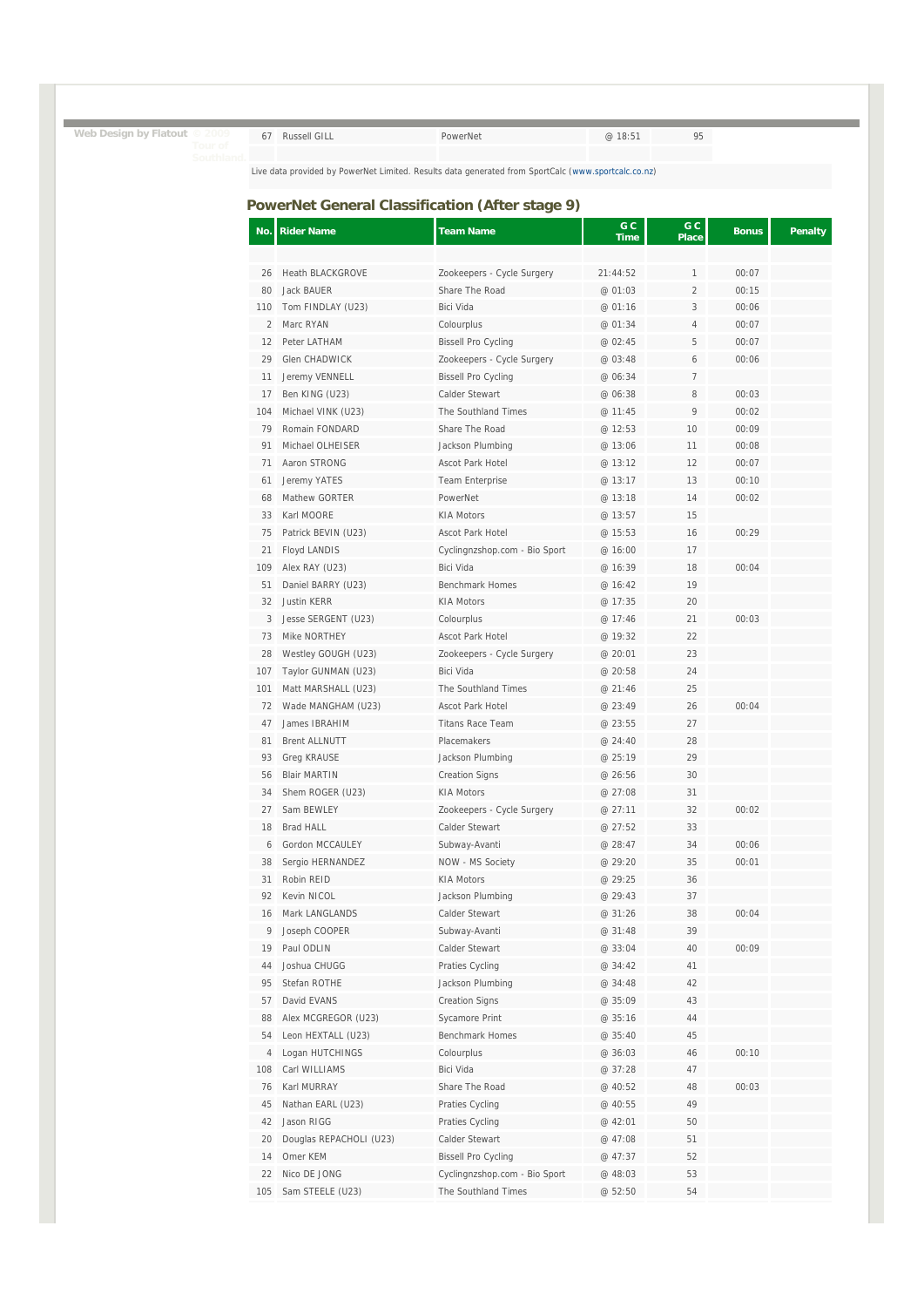| Web Design by Flatout © 2009 |  | 67 Russell GILL | PowerNet | @ 18:51 | Q <sub>h</sub> |
|------------------------------|--|-----------------|----------|---------|----------------|
| Tour of                      |  |                 |          |         |                |

# **PowerNet General Classification (After stage 9)**

| No. | <b>Rider Name</b>       | <b>Team Name</b>              | G C<br>Time | G C<br><b>Place</b> | <b>Bonus</b> | <b>Penalty</b> |
|-----|-------------------------|-------------------------------|-------------|---------------------|--------------|----------------|
|     |                         |                               |             |                     |              |                |
| 26  | <b>Heath BLACKGROVE</b> | Zookeepers - Cycle Surgery    | 21:44:52    | 1                   | 00:07        |                |
| 80  | Jack BAUER              | Share The Road                | @ 01:03     | $\overline{2}$      | 00:15        |                |
| 110 | Tom FINDLAY (U23)       | Bici Vida                     | @ 01:16     | 3                   | 00:06        |                |
| 2   | Marc RYAN               | Colourplus                    | @ 01:34     | 4                   | 00:07        |                |
| 12  | Peter LATHAM            | <b>Bissell Pro Cycling</b>    | @ 02:45     | 5                   | 00:07        |                |
| 29  | Glen CHADWICK           | Zookeepers - Cycle Surgery    | @ 03:48     | 6                   | 00:06        |                |
| 11  | Jeremy VENNELL          | <b>Bissell Pro Cycling</b>    | @ 06:34     | 7                   |              |                |
| 17  | Ben KING (U23)          | Calder Stewart                | @ 06:38     | 8                   | 00:03        |                |
| 104 | Michael VINK (U23)      | The Southland Times           | @ 11:45     | 9                   | 00:02        |                |
| 79  | Romain FONDARD          | Share The Road                | @ 12:53     | 10                  | 00:09        |                |
| 91  | Michael OLHEISER        | Jackson Plumbing              | @ 13:06     | 11                  | 00:08        |                |
| 71  | Aaron STRONG            | Ascot Park Hotel              | @ 13:12     | 12                  | 00:07        |                |
| 61  | Jeremy YATES            | <b>Team Enterprise</b>        | @ 13:17     | 13                  | 00:10        |                |
| 68  | Mathew GORTER           | PowerNet                      | @ 13:18     | 14                  | 00:02        |                |
| 33  | Karl MOORE              | <b>KIA Motors</b>             | @ 13:57     | 15                  |              |                |
| 75  | Patrick BEVIN (U23)     | Ascot Park Hotel              | @ 15:53     | 16                  | 00:29        |                |
| 21  | Floyd LANDIS            | Cyclingnzshop.com - Bio Sport | @ 16:00     | 17                  |              |                |
| 109 | Alex RAY (U23)          | Bici Vida                     | @ 16:39     | 18                  | 00:04        |                |
| 51  | Daniel BARRY (U23)      | <b>Benchmark Homes</b>        | @ 16:42     | 19                  |              |                |
| 32  | <b>Justin KERR</b>      | <b>KIA Motors</b>             | @ 17:35     | 20                  |              |                |
| 3   | Jesse SERGENT (U23)     | Colourplus                    | @ 17:46     | 21                  | 00:03        |                |
| 73  | Mike NORTHEY            | Ascot Park Hotel              | @ 19:32     | 22                  |              |                |
| 28  | Westley GOUGH (U23)     | Zookeepers - Cycle Surgery    | @ 20:01     | 23                  |              |                |
| 107 | Taylor GUNMAN (U23)     | Bici Vida                     | @ 20:58     | 24                  |              |                |
| 101 | Matt MARSHALL (U23)     | The Southland Times           | @ 21:46     | 25                  |              |                |
| 72  | Wade MANGHAM (U23)      | Ascot Park Hotel              | @ 23:49     | 26                  | 00:04        |                |
| 47  | James IBRAHIM           | <b>Titans Race Team</b>       | @ 23:55     | 27                  |              |                |
| 81  | <b>Brent ALLNUTT</b>    | Placemakers                   | @ 24:40     | 28                  |              |                |
| 93  | <b>Greg KRAUSE</b>      | Jackson Plumbing              | @ 25:19     | 29                  |              |                |
| 56  | <b>Blair MARTIN</b>     | <b>Creation Signs</b>         | @ 26:56     | 30                  |              |                |
| 34  | Shem ROGER (U23)        | <b>KIA Motors</b>             | @ 27:08     | 31                  |              |                |
| 27  | Sam BEWLEY              | Zookeepers - Cycle Surgery    | @ 27:11     | 32                  | 00:02        |                |
| 18  | <b>Brad HALL</b>        | Calder Stewart                | @ 27:52     | 33                  |              |                |
| 6   | Gordon MCCAULEY         | Subway-Avanti                 | @ 28:47     | 34                  | 00:06        |                |
| 38  | Sergio HERNANDEZ        | NOW - MS Society              | @ 29:20     | 35                  | 00:01        |                |
| 31  | Robin REID              | KIA Motors                    | @ 29:25     | 36                  |              |                |
| 92  | Kevin NICOL             | Jackson Plumbing              | @ 29:43     | 37                  |              |                |
| 16  | Mark LANGLANDS          | Calder Stewart                | @ 31:26     | 38                  | 00:04        |                |
| 9   | Joseph COOPER           | Subway-Avanti                 | @ 31:48     | 39                  |              |                |
| 19  | Paul ODLIN              | Calder Stewart                | @ 33:04     | 40                  | 00:09        |                |
| 44  | Joshua CHUGG            | Praties Cycling               | @ 34:42     | 41                  |              |                |
| 95  | Stefan ROTHE            | Jackson Plumbing              | @ 34:48     | 42                  |              |                |
| 57  | David EVANS             | <b>Creation Signs</b>         | @ 35:09     | 43                  |              |                |
| 88  | Alex MCGREGOR (U23)     | Sycamore Print                | @ 35:16     | 44                  |              |                |
| 54  | Leon HEXTALL (U23)      | Benchmark Homes               | @ 35:40     | 45                  |              |                |
| 4   | Logan HUTCHINGS         | Colourplus                    | @ 36:03     | 46                  | 00:10        |                |
| 108 | Carl WILLIAMS           | Bici Vida                     | @ 37:28     | 47                  |              |                |
| 76  | Karl MURRAY             | Share The Road                | @ 40:52     | 48                  | 00:03        |                |
| 45  | Nathan EARL (U23)       | Praties Cycling               | @ 40:55     | 49                  |              |                |
| 42  | Jason RIGG              | Praties Cycling               | @ 42:01     | 50                  |              |                |
| 20  | Douglas REPACHOLI (U23) | Calder Stewart                | @ 47:08     | 51                  |              |                |
| 14  | Omer KEM                | <b>Bissell Pro Cycling</b>    | @ 47:37     | 52                  |              |                |
| 22  | Nico DE JONG            | Cyclingnzshop.com - Bio Sport | @ 48:03     | 53                  |              |                |
| 105 | Sam STEELE (U23)        | The Southland Times           | @ 52:50     | 54                  |              |                |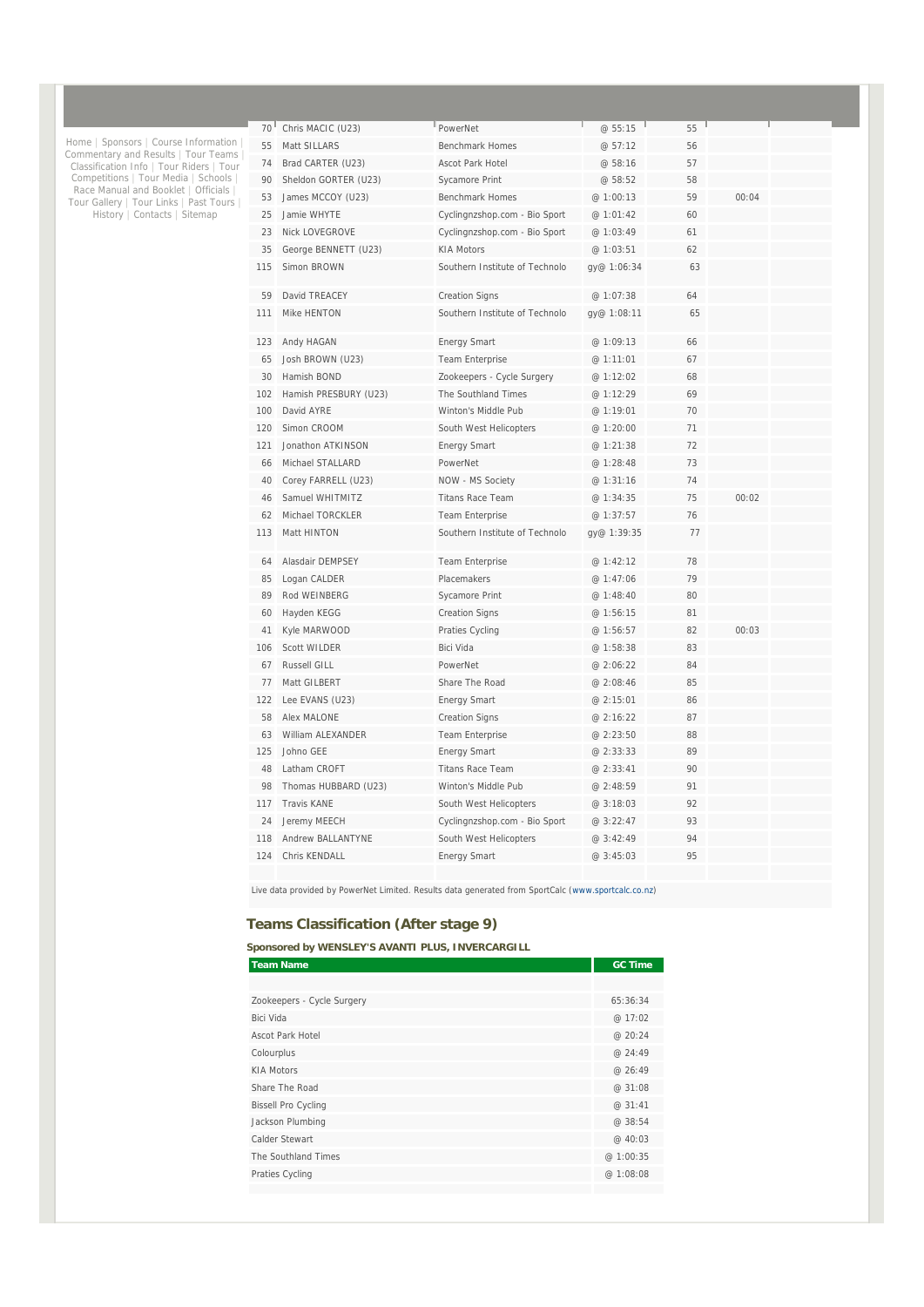| 70 <sup>1</sup> | Chris MACIC (U23)        | PowerNet                       | @ 55:15     | 55 |       |  |
|-----------------|--------------------------|--------------------------------|-------------|----|-------|--|
| 55              | Matt SILLARS             | <b>Benchmark Homes</b>         | @ 57:12     | 56 |       |  |
| 74              | Brad CARTER (U23)        | Ascot Park Hotel               | @ 58:16     | 57 |       |  |
| 90              | Sheldon GORTER (U23)     | Sycamore Print                 | @ 58:52     | 58 |       |  |
| 53              | James MCCOY (U23)        | <b>Benchmark Homes</b>         | @ 1:00:13   | 59 | 00:04 |  |
| 25              | Jamie WHYTF              | Cyclingnzshop.com - Bio Sport  | @ 1:01:42   | 60 |       |  |
| 23              | <b>Nick LOVEGROVE</b>    | Cyclingnzshop.com - Bio Sport  | @ 1:03:49   | 61 |       |  |
| 35              | George BENNETT (U23)     | <b>KIA Motors</b>              | @ 1:03:51   | 62 |       |  |
| 115             | Simon BROWN              | Southern Institute of Technolo | gy@ 1:06:34 | 63 |       |  |
| 59              | David TREACEY            | <b>Creation Signs</b>          | @ 1:07:38   | 64 |       |  |
| 111             | Mike HENTON              | Southern Institute of Technolo | gy@ 1:08:11 | 65 |       |  |
| 123             | Andy HAGAN               | <b>Energy Smart</b>            | @ 1:09:13   | 66 |       |  |
| 65              | Josh BROWN (U23)         | <b>Team Enterprise</b>         | @ 1:11:01   | 67 |       |  |
| 30              | Hamish BOND              | Zookeepers - Cycle Surgery     | @ 1:12:02   | 68 |       |  |
| 102             | Hamish PRESBURY (U23)    | The Southland Times            | @ 1:12:29   | 69 |       |  |
| 100             | David AYRE               | Winton's Middle Pub            | @ 1:19:01   | 70 |       |  |
| 120             | Simon CROOM              | South West Helicopters         | @ 1:20:00   | 71 |       |  |
| 121             | Jonathon ATKINSON        | <b>Energy Smart</b>            | @ 1:21:38   | 72 |       |  |
| 66              | Michael STALLARD         | PowerNet                       | @ 1:28:48   | 73 |       |  |
| 40              | Corey FARRELL (U23)      | NOW - MS Society               | @ 1:31:16   | 74 |       |  |
| 46              | Samuel WHITMITZ          | <b>Titans Race Team</b>        | @ 1:34:35   | 75 | 00:02 |  |
| 62              | Michael TORCKLER         | <b>Team Enterprise</b>         | @ 1:37:57   | 76 |       |  |
| 113             | Matt HINTON              | Southern Institute of Technolo | gy@ 1:39:35 | 77 |       |  |
| 64              | Alasdair DEMPSEY         | <b>Team Enterprise</b>         | @ 1:42:12   | 78 |       |  |
| 85              | Logan CALDER             | Placemakers                    | @ 1:47:06   | 79 |       |  |
| 89              | Rod WEINBERG             | <b>Sycamore Print</b>          | @ 1:48:40   | 80 |       |  |
| 60              | Hayden KEGG              | <b>Creation Signs</b>          | @ 1:56:15   | 81 |       |  |
| 41              | Kyle MARWOOD             | Praties Cycling                | @1:56:57    | 82 | 00:03 |  |
| 106             | <b>Scott WILDER</b>      | <b>Bici Vida</b>               | @ 1:58:38   | 83 |       |  |
| 67              | Russell GILL             | PowerNet                       | @ 2:06:22   | 84 |       |  |
| 77              | Matt GILBERT             | Share The Road                 | @ 2:08:46   | 85 |       |  |
| 122             | Lee EVANS (U23)          | <b>Energy Smart</b>            | @ 2:15:01   | 86 |       |  |
| 58              | <b>Alex MALONE</b>       | <b>Creation Signs</b>          | @ 2:16:22   | 87 |       |  |
| 63              | William ALEXANDER        | Team Enterprise                | @ 2:23:50   | 88 |       |  |
| 125             | Johno GFF                | <b>Energy Smart</b>            | @ 2:33:33   | 89 |       |  |
| 48              | Latham CROFT             | <b>Titans Race Team</b>        | @ 2:33:41   | 90 |       |  |
| 98              | Thomas HUBBARD (U23)     | Winton's Middle Pub            | @ 2:48:59   | 91 |       |  |
| 117             | <b>Travis KANE</b>       | South West Helicopters         | @3:18:03    | 92 |       |  |
| 24              | Jeremy MEECH             | Cyclingnzshop.com - Bio Sport  | @ 3:22:47   | 93 |       |  |
| 118             | <b>Andrew BALLANTYNE</b> | South West Helicopters         | @ 3:42:49   | 94 |       |  |
| 124             | Chris KENDALL            | <b>Energy Smart</b>            | @3:45:03    | 95 |       |  |
|                 |                          |                                |             |    |       |  |

### **Teams Classification (After stage 9)**

Home | Sponsors | Course Information |<br>Commentary and Results | Tour Teams |<br>Classification Info | Tour Riders | Tour<br>Competitions | Tour Media | Schools |<br>Race Manual and Booklet | Officials |<br>Tour Gallery | Tour Links |

**Sponsored by WENSLEY'S AVANTI PLUS, INVERCARGILL** 

| <b>Team Name</b>           | <b>GC Time</b> |
|----------------------------|----------------|
|                            |                |
| Zookeepers - Cycle Surgery | 65:36:34       |
| Bici Vida                  | @ 17:02        |
| <b>Ascot Park Hotel</b>    | @20:24         |
| Colourplus                 | @ 24:49        |
| <b>KIA Motors</b>          | @ 26:49        |
| Share The Road             | @ 31:08        |
| <b>Bissell Pro Cycling</b> | @ 31:41        |
| Jackson Plumbing           | @ 38:54        |
| Calder Stewart             | @ 40:03        |
| The Southland Times        | @ 1:00:35      |
| Praties Cycling            | @ 1:08:08      |
|                            |                |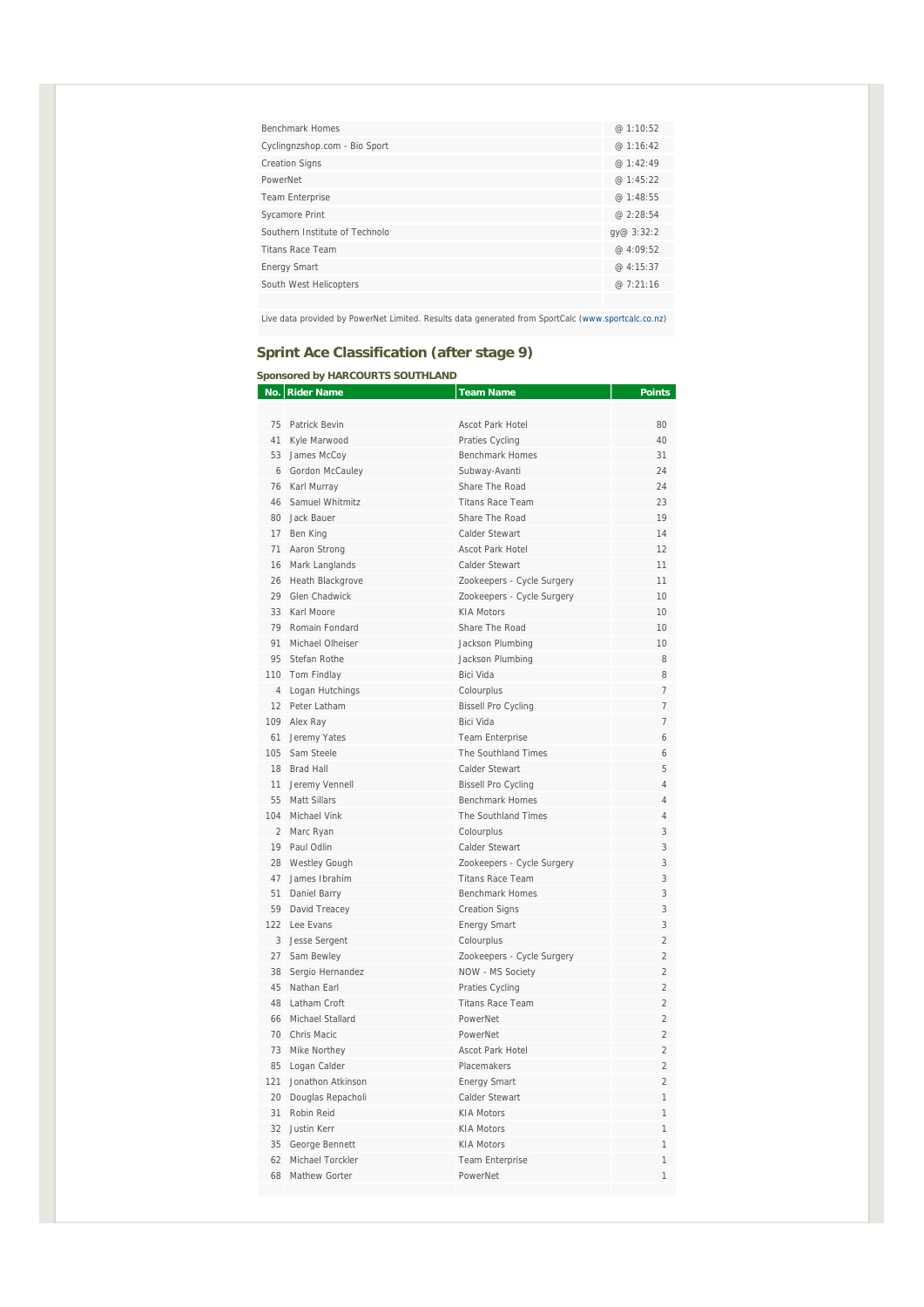| Benchmark Homes                | @1:10:52    |
|--------------------------------|-------------|
| Cyclingnzshop.com - Bio Sport  | @ 1:16:42   |
| <b>Creation Signs</b>          | @1:42:49    |
| PowerNet                       | @1:45:22    |
| <b>Team Enterprise</b>         | @1:48:55    |
| Sycamore Print                 | @ $2:28:54$ |
| Southern Institute of Technolo | qy@ 3:32:2  |
| <b>Titans Race Team</b>        | @ $4:09:52$ |
| <b>Energy Smart</b>            | @ 4:15:37   |
| South West Helicopters         | @7:21:16    |
|                                |             |

# **Sprint Ace Classification (after stage 9)**

### **Sponsored by HARCOURTS SOUTHLAND**

| No. | <b>Rider Name</b>    | <b>Team Name</b>           | <b>Points</b>  |
|-----|----------------------|----------------------------|----------------|
|     |                      |                            |                |
|     | 75 Patrick Bevin     | Ascot Park Hotel           | 80             |
| 41  | Kyle Marwood         | Praties Cycling            | 40             |
|     | 53 James McCoy       | <b>Benchmark Homes</b>     | 31             |
|     | 6 Gordon McCauley    | Subway-Avanti              | 24             |
|     | 76 Karl Murray       | Share The Road             | 24             |
|     | 46 Samuel Whitmitz   | <b>Titans Race Team</b>    | 23             |
|     | 80 Jack Bauer        | Share The Road             | 19             |
|     | 17 Ben King          | Calder Stewart             | 14             |
| 71  | Aaron Strong         | Ascot Park Hotel           | 12             |
|     | 16 Mark Langlands    | Calder Stewart             | 11             |
| 26  | Heath Blackgrove     | Zookeepers - Cycle Surgery | 11             |
| 29  | Glen Chadwick        | Zookeepers - Cycle Surgery | 10             |
|     | 33 Karl Moore        | <b>KIA Motors</b>          | 10             |
| 79  | Romain Fondard       | Share The Road             | 10             |
| 91  | Michael Olheiser     | Jackson Plumbing           | 10             |
|     | 95 Stefan Rothe      | Jackson Plumbing           | 8              |
|     | 110 Tom Findlay      | <b>Bici Vida</b>           | 8              |
|     | 4 Logan Hutchings    | Colourplus                 | $\overline{7}$ |
|     | 12 Peter Latham      | <b>Bissell Pro Cycling</b> | $\overline{7}$ |
|     | 109 Alex Ray         | <b>Bici Vida</b>           | $\overline{7}$ |
| 61  | Jeremy Yates         | <b>Team Enterprise</b>     | 6              |
| 105 | Sam Steele           | The Southland Times        | 6              |
|     | 18 Brad Hall         | Calder Stewart             | 5              |
| 11  | Jeremy Vennell       | <b>Bissell Pro Cycling</b> | 4              |
| 55  | <b>Matt Sillars</b>  | <b>Benchmark Homes</b>     | $\overline{4}$ |
|     | 104 Michael Vink     | The Southland Times        | 4              |
|     | 2 Marc Ryan          | Colourplus                 | 3              |
|     | 19 Paul Odlin        | Calder Stewart             | 3              |
| 28  | <b>Westley Gough</b> | Zookeepers - Cycle Surgery | 3              |
|     | 47 James Ibrahim     | <b>Titans Race Team</b>    | 3              |
| 51  | Daniel Barry         | <b>Benchmark Homes</b>     | 3              |
|     | 59 David Treacey     | <b>Creation Signs</b>      | 3              |
|     | 122 Lee Evans        | <b>Energy Smart</b>        | 3              |
|     | 3 Jesse Sergent      | Colourplus                 | $\overline{2}$ |
|     | 27 Sam Bewley        | Zookeepers - Cycle Surgery | $\overline{2}$ |
| 38  | Sergio Hernandez     | NOW - MS Society           | $\overline{2}$ |
| 45  | Nathan Earl          | Praties Cycling            | $\overline{2}$ |
| 48  | Latham Croft         | <b>Titans Race Team</b>    | $\mathfrak{D}$ |
| 66  | Michael Stallard     | PowerNet                   | $\overline{2}$ |
|     | 70 Chris Macic       | PowerNet                   | $\overline{2}$ |
|     | 73 Mike Northey      | <b>Ascot Park Hotel</b>    | $\overline{2}$ |
| 85  | Logan Calder         | Placemakers                | $\overline{2}$ |
| 121 | Jonathon Atkinson    | <b>Energy Smart</b>        | $\overline{2}$ |
| 20  | Douglas Repacholi    | Calder Stewart             | 1              |
|     | 31 Robin Reid        | <b>KIA Motors</b>          | 1              |
|     | 32 Justin Kerr       | <b>KIA Motors</b>          | $\overline{1}$ |
|     | 35 George Bennett    | <b>KIA Motors</b>          | 1              |
|     | 62 Michael Torckler  | <b>Team Enterprise</b>     | 1              |
|     | 68 Mathew Gorter     | PowerNet                   | $\mathbf{1}$   |
|     |                      |                            |                |